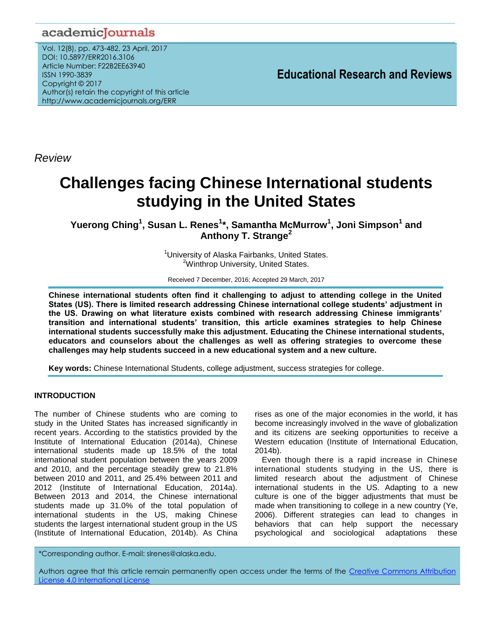# academicJournals

Vol. 12(8), pp. 473-482, 23 April, 2017 DOI: 10.5897/ERR2016.3106 Article Number: F22B2EE63940 ISSN 1990-3839 Copyright © 2017 Author(s) retain the copyright of this article http://www.academicjournals.org/ERR

**Educational Research and Reviews**

*Review*

# **Challenges facing Chinese International students studying in the United States**

**Yuerong Ching<sup>1</sup> , Susan L. Renes<sup>1</sup> \*, Samantha McMurrow<sup>1</sup> , Joni Simpson<sup>1</sup> and Anthony T. Strange<sup>2</sup>**

> <sup>1</sup> University of Alaska Fairbanks, United States. <sup>2</sup>Winthrop University, United States.

Received 7 December, 2016; Accepted 29 March, 2017

**Chinese international students often find it challenging to adjust to attending college in the United States (US). There is limited research addressing Chinese international college students' adjustment in the US. Drawing on what literature exists combined with research addressing Chinese immigrants' transition and international students' transition, this article examines strategies to help Chinese international students successfully make this adjustment. Educating the Chinese international students, educators and counselors about the challenges as well as offering strategies to overcome these challenges may help students succeed in a new educational system and a new culture.**

**Key words:** Chinese International Students, college adjustment, success strategies for college.

#### **INTRODUCTION**

The number of Chinese students who are coming to study in the United States has increased significantly in recent years. According to the statistics provided by the Institute of International Education (2014a), Chinese international students made up 18.5% of the total international student population between the years 2009 and 2010, and the percentage steadily grew to 21.8% between 2010 and 2011, and 25.4% between 2011 and 2012 (Institute of International Education, 2014a). Between 2013 and 2014, the Chinese international students made up 31.0% of the total population of international students in the US, making Chinese students the largest international student group in the US (Institute of International Education, 2014b). As China

rises as one of the major economies in the world, it has become increasingly involved in the wave of globalization and its citizens are seeking opportunities to receive a Western education (Institute of International Education, 2014b).

Even though there is a rapid increase in Chinese international students studying in the US, there is limited research about the adjustment of Chinese international students in the US. Adapting to a new culture is one of the bigger adjustments that must be made when transitioning to college in a new country (Ye, 2006). Different strategies can lead to changes in behaviors that can help support the necessary psychological and sociological adaptations these

\*Corresponding author. E-mail: slrenes@alaska.edu.

Authors agree that this article remain permanently open access under the terms of the Creative Commons Attribution [License 4.0 International License](file://192.168.1.24/reading/Arts%20and%20Education/ERR/2014/sept/read/Correction%20Pdf%201/ERR-17.04.14-1816/Publication/Creative%20Co)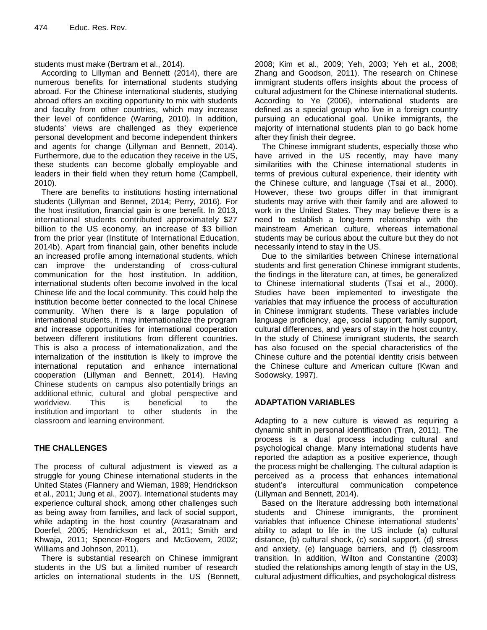students must make (Bertram et al., 2014).

According to Lillyman and Bennett (2014), there are numerous benefits for international students studying abroad. For the Chinese international students, studying abroad offers an exciting opportunity to mix with students and faculty from other countries, which may increase their level of confidence (Warring, 2010). In addition, students' views are challenged as they experience personal development and become independent thinkers and agents for change (Lillyman and Bennett, 2014). Furthermore, due to the education they receive in the US, these students can become globally employable and leaders in their field when they return home (Campbell, 2010).

There are benefits to institutions hosting international students (Lillyman and Bennet, 2014; Perry, 2016). For the host institution, financial gain is one benefit. In 2013, international students contributed approximately \$27 billion to the US economy, an increase of \$3 billion from the prior year (Institute of International Education, 2014b). Apart from financial gain, other benefits include an increased profile among international students, which can improve the understanding of cross-cultural communication for the host institution. In addition, international students often become involved in the local Chinese life and the local community. This could help the institution become better connected to the local Chinese community. When there is a large population of international students, it may internationalize the program and increase opportunities for international cooperation between different institutions from different countries. This is also a process of internationalization, and the internalization of the institution is likely to improve the international reputation and enhance international cooperation (Lillyman and Bennett, 2014). Having Chinese students on campus also potentially brings an additional ethnic, cultural and global perspective and worldview. This is beneficial to the institution and important to other students in the classroom and learning environment.

# **THE CHALLENGES**

The process of cultural adjustment is viewed as a struggle for young Chinese international students in the United States (Flannery and Wieman, 1989; Hendrickson et al., 2011; Jung et al., 2007). International students may experience cultural shock, among other challenges such as being away from families, and lack of social support, while adapting in the host country (Arasaratnam and Doerfel, 2005; Hendrickson et al., 2011; Smith and Khwaja, 2011; Spencer-Rogers and McGovern, 2002; Williams and Johnson, 2011).

There is substantial research on Chinese immigrant students in the US but a limited number of research articles on international students in the US (Bennett, 2008; Kim et al., 2009; Yeh, 2003; Yeh et al., 2008; Zhang and Goodson, 2011). The research on Chinese immigrant students offers insights about the process of cultural adjustment for the Chinese international students. According to Ye (2006), international students are defined as a special group who live in a foreign country pursuing an educational goal. Unlike immigrants, the majority of international students plan to go back home after they finish their degree.

The Chinese immigrant students, especially those who have arrived in the US recently, may have many similarities with the Chinese international students in terms of previous cultural experience, their identity with the Chinese culture, and language (Tsai et al., 2000). However, these two groups differ in that immigrant students may arrive with their family and are allowed to work in the United States. They may believe there is a need to establish a long-term relationship with the mainstream American culture, whereas international students may be curious about the culture but they do not necessarily intend to stay in the US.

Due to the similarities between Chinese international students and first generation Chinese immigrant students, the findings in the literature can, at times, be generalized to Chinese international students (Tsai et al., 2000). Studies have been implemented to investigate the variables that may influence the process of acculturation in Chinese immigrant students. These variables include language proficiency, age, social support, family support, cultural differences, and years of stay in the host country. In the study of Chinese immigrant students, the search has also focused on the special characteristics of the Chinese culture and the potential identity crisis between the Chinese culture and American culture (Kwan and Sodowsky, 1997).

#### **ADAPTATION VARIABLES**

Adapting to a new culture is viewed as requiring a dynamic shift in personal identification (Tran, 2011). The process is a dual process including cultural and psychological change. Many international students have reported the adaption as a positive experience, though the process might be challenging. The cultural adaption is perceived as a process that enhances international student"s intercultural communication competence (Lillyman and Bennett, 2014).

Based on the literature addressing both international students and Chinese immigrants, the prominent variables that influence Chinese international students" ability to adapt to life in the US include (a) cultural distance, (b) cultural shock, (c) social support, (d) stress and anxiety, (e) language barriers, and (f) classroom transition. In addition, Wilton and Constantine (2003) studied the relationships among length of stay in the US, cultural adjustment difficulties, and psychological distress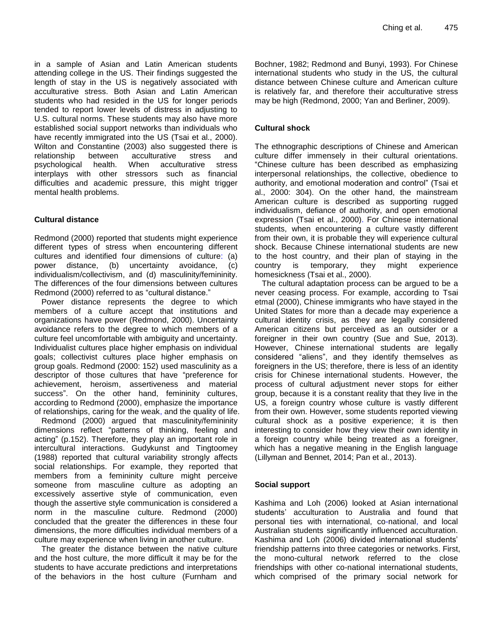in a sample of Asian and Latin American students attending college in the US. Their findings suggested the length of stay in the US is negatively associated with acculturative stress. Both Asian and Latin American students who had resided in the US for longer periods tended to report lower levels of distress in adjusting to U.S. cultural norms. These students may also have more established social support networks than individuals who have recently immigrated into the US (Tsai et al., 2000). Wilton and Constantine (2003) also suggested there is relationship between acculturative stress and psychological health. When acculturative stress interplays with other stressors such as financial difficulties and academic pressure, this might trigger mental health problems.

#### **Cultural distance**

Redmond (2000) reported that students might experience different types of stress when encountering different cultures and identified four dimensions of culture: (a) power distance, (b) uncertainty avoidance, (c) individualism/collectivism, and (d) masculinity/femininity. The differences of the four dimensions between cultures Redmond (2000) referred to as "cultural distance."

Power distance represents the degree to which members of a culture accept that institutions and organizations have power (Redmond, 2000). Uncertainty avoidance refers to the degree to which members of a culture feel uncomfortable with ambiguity and uncertainty. Individualist cultures place higher emphasis on individual goals; collectivist cultures place higher emphasis on group goals. Redmond (2000: 152) used masculinity as a descriptor of those cultures that have "preference for achievement, heroism, assertiveness and material success". On the other hand, femininity cultures, according to Redmond (2000), emphasize the importance of relationships, caring for the weak, and the quality of life.

Redmond (2000) argued that masculinity/femininity dimensions reflect "patterns of thinking, feeling and acting" (p.152). Therefore, they play an important role in intercultural interactions. Gudykunst and Tingtoomey (1988) reported that cultural variability strongly affects social relationships. For example, they reported that members from a femininity culture might perceive someone from masculine culture as adopting an excessively assertive style of communication, even though the assertive style communication is considered a norm in the masculine culture. Redmond (2000) concluded that the greater the differences in these four dimensions, the more difficulties individual members of a culture may experience when living in another culture.

The greater the distance between the native culture and the host culture, the more difficult it may be for the students to have accurate predictions and interpretations of the behaviors in the host culture (Furnham and Bochner, 1982; Redmond and Bunyi, 1993). For Chinese international students who study in the US, the cultural distance between Chinese culture and American culture is relatively far, and therefore their acculturative stress may be high (Redmond, 2000; Yan and Berliner, 2009).

#### **Cultural shock**

The ethnographic descriptions of Chinese and American culture differ immensely in their cultural orientations. "Chinese culture has been described as emphasizing interpersonal relationships, the collective, obedience to authority, and emotional moderation and control" (Tsai et al., 2000: 304). On the other hand, the mainstream American culture is described as supporting rugged individualism, defiance of authority, and open emotional expression (Tsai et al., 2000). For Chinese international students, when encountering a culture vastly different from their own, it is probable they will experience cultural shock. Because Chinese international students are new to the host country, and their plan of staying in the country is temporary, they might experience homesickness (Tsai et al., 2000).

The cultural adaptation process can be argued to be a never ceasing process. For example, according to Tsai etmal (2000), Chinese immigrants who have stayed in the United States for more than a decade may experience a cultural identity crisis, as they are legally considered American citizens but perceived as an outsider or a foreigner in their own country (Sue and Sue, 2013). However, Chinese international students are legally considered "aliens", and they identify themselves as foreigners in the US; therefore, there is less of an identity crisis for Chinese international students. However, the process of cultural adjustment never stops for either group, because it is a constant reality that they live in the US, a foreign country whose culture is vastly different from their own. However, some students reported viewing cultural shock as a positive experience; it is then interesting to consider how they view their own identity in a foreign country while being treated as a foreigner, which has a negative meaning in the English language (Lillyman and Bennet, 2014; Pan et al., 2013).

#### **Social support**

Kashima and Loh (2006) looked at Asian international students" acculturation to Australia and found that personal ties with international, co-national, and local Australian students significantly influenced acculturation. Kashima and Loh (2006) divided international students" friendship patterns into three categories or networks. First, the mono-cultural network referred to the close friendships with other co-national international students, which comprised of the primary social network for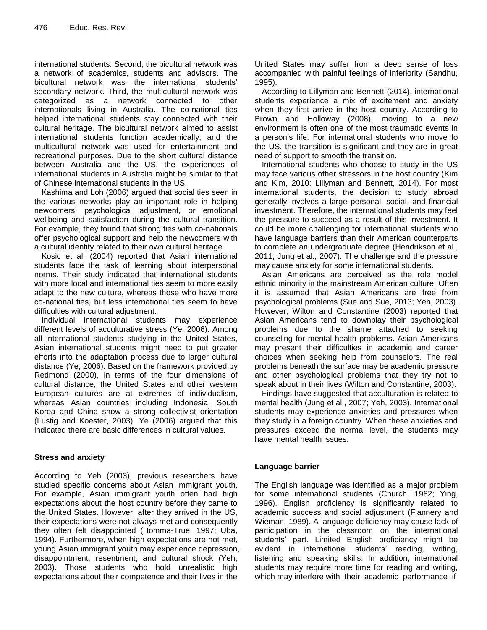international students. Second, the bicultural network was a network of academics, students and advisors. The bicultural network was the international students' secondary network. Third, the multicultural network was categorized as a network connected to other internationals living in Australia. The co-national ties helped international students stay connected with their cultural heritage. The bicultural network aimed to assist international students function academically, and the multicultural network was used for entertainment and recreational purposes. Due to the short cultural distance between Australia and the US, the experiences of international students in Australia might be similar to that of Chinese international students in the US.

Kashima and Loh (2006) argued that social ties seen in the various networks play an important role in helping newcomers" psychological adjustment, or emotional wellbeing and satisfaction during the cultural transition. For example, they found that strong ties with co-nationals offer psychological support and help the newcomers with a cultural identity related to their own cultural heritage

Kosic et al. (2004) reported that Asian international students face the task of learning about interpersonal norms. Their study indicated that international students with more local and international ties seem to more easily adapt to the new culture, whereas those who have more co-national ties, but less international ties seem to have difficulties with cultural adjustment.

Individual international students may experience different levels of acculturative stress (Ye, 2006). Among all international students studying in the United States, Asian international students might need to put greater efforts into the adaptation process due to larger cultural distance (Ye, 2006). Based on the framework provided by Redmond (2000), in terms of the four dimensions of cultural distance, the United States and other western European cultures are at extremes of individualism, whereas Asian countries including Indonesia, South Korea and China show a strong collectivist orientation (Lustig and Koester, 2003). Ye (2006) argued that this indicated there are basic differences in cultural values.

#### **Stress and anxiety**

According to Yeh (2003), previous researchers have studied specific concerns about Asian immigrant youth. For example, Asian immigrant youth often had high expectations about the host country before they came to the United States. However, after they arrived in the US, their expectations were not always met and consequently they often felt disappointed (Homma-True, 1997; Uba, 1994). Furthermore, when high expectations are not met, young Asian immigrant youth may experience depression, disappointment, resentment, and cultural shock (Yeh, 2003). Those students who hold unrealistic high expectations about their competence and their lives in the

United States may suffer from a deep sense of loss accompanied with painful feelings of inferiority (Sandhu, 1995).

According to Lillyman and Bennett (2014), international students experience a mix of excitement and anxiety when they first arrive in the host country. According to Brown and Holloway (2008), moving to a new environment is often one of the most traumatic events in a person"s life. For international students who move to the US, the transition is significant and they are in great need of support to smooth the transition.

International students who choose to study in the US may face various other stressors in the host country (Kim and Kim, 2010; Lillyman and Bennett, 2014). For most international students, the decision to study abroad generally involves a large personal, social, and financial investment. Therefore, the international students may feel the pressure to succeed as a result of this investment. It could be more challenging for international students who have language barriers than their American counterparts to complete an undergraduate degree (Hendrikson et al., 2011; Jung et al., 2007). The challenge and the pressure may cause anxiety for some international students.

Asian Americans are perceived as the role model ethnic minority in the mainstream American culture. Often it is assumed that Asian Americans are free from psychological problems (Sue and Sue, 2013; Yeh, 2003). However, Wilton and Constantine (2003) reported that Asian Americans tend to downplay their psychological problems due to the shame attached to seeking counseling for mental health problems. Asian Americans may present their difficulties in academic and career choices when seeking help from counselors. The real problems beneath the surface may be academic pressure and other psychological problems that they try not to speak about in their lives (Wilton and Constantine, 2003).

Findings have suggested that acculturation is related to mental health (Jung et al., 2007; Yeh, 2003). International students may experience anxieties and pressures when they study in a foreign country. When these anxieties and pressures exceed the normal level, the students may have mental health issues.

# **Language barrier**

The English language was identified as a major problem for some international students (Church, 1982; Ying, 1996). English proficiency is significantly related to academic success and social adjustment (Flannery and Wieman, 1989). A language deficiency may cause lack of participation in the classroom on the international students" part. Limited English proficiency might be evident in international students' reading, writing, listening and speaking skills. In addition, international students may require more time for reading and writing, which may interfere with their academic performance if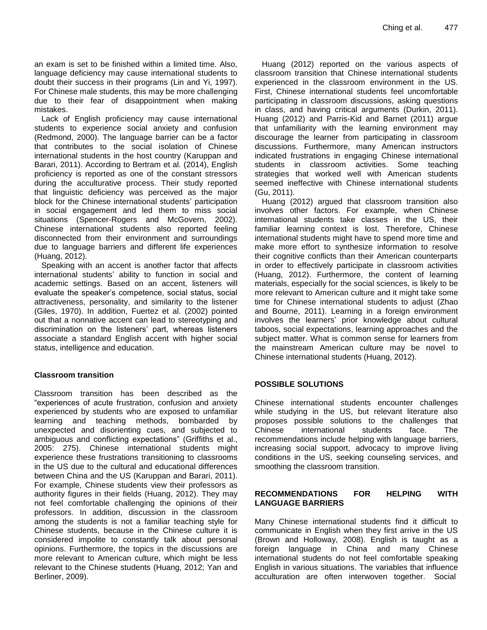an exam is set to be finished within a limited time. Also, language deficiency may cause international students to doubt their success in their programs (Lin and Yi, 1997). For Chinese male students, this may be more challenging due to their fear of disappointment when making mistakes.

Lack of English proficiency may cause international students to experience social anxiety and confusion (Redmond, 2000). The language barrier can be a factor that contributes to the social isolation of Chinese international students in the host country (Karuppan and Barari, 2011). According to Bertram et al. (2014), English proficiency is reported as one of the constant stressors during the acculturative process. Their study reported that linguistic deficiency was perceived as the major block for the Chinese international students' participation in social engagement and led them to miss social situations (Spencer-Rogers and McGovern, 2002). Chinese international students also reported feeling disconnected from their environment and surroundings due to language barriers and different life experiences (Huang, 2012).

Speaking with an accent is another factor that affects international students' ability to function in social and academic settings. Based on an accent, listeners will evaluate the speaker"s competence, social status, social attractiveness, personality, and similarity to the listener (Giles, 1970). In addition, Fuertez et al. (2002) pointed out that a nonnative accent can lead to stereotyping and discrimination on the listeners" part, whereas listeners associate a standard English accent with higher social status, intelligence and education.

#### **Classroom transition**

Classroom transition has been described as the "experiences of acute frustration, confusion and anxiety experienced by students who are exposed to unfamiliar learning and teaching methods, bombarded by unexpected and disorienting cues, and subjected to ambiguous and conflicting expectations" (Griffiths et al., 2005: 275). Chinese international students might experience these frustrations transitioning to classrooms in the US due to the cultural and educational differences between China and the US (Karuppan and Barari, 2011). For example, Chinese students view their professors as authority figures in their fields (Huang, 2012). They may not feel comfortable challenging the opinions of their professors. In addition, discussion in the classroom among the students is not a familiar teaching style for Chinese students, because in the Chinese culture it is considered impolite to constantly talk about personal opinions. Furthermore, the topics in the discussions are more relevant to American culture, which might be less relevant to the Chinese students (Huang, 2012; Yan and Berliner, 2009).

Huang (2012) reported on the various aspects of classroom transition that Chinese international students experienced in the classroom environment in the US. First, Chinese international students feel uncomfortable participating in classroom discussions, asking questions in class, and having critical arguments (Durkin, 2011). Huang (2012) and Parris-Kid and Barnet (2011) argue that unfamiliarity with the learning environment may discourage the learner from participating in classroom discussions. Furthermore, many American instructors indicated frustrations in engaging Chinese international students in classroom activities. Some teaching strategies that worked well with American students seemed ineffective with Chinese international students (Gu, 2011).

Huang (2012) argued that classroom transition also involves other factors. For example, when Chinese international students take classes in the US, their familiar learning context is lost. Therefore, Chinese international students might have to spend more time and make more effort to synthesize information to resolve their cognitive conflicts than their American counterparts in order to effectively participate in classroom activities (Huang, 2012). Furthermore, the content of learning materials, especially for the social sciences, is likely to be more relevant to American culture and it might take some time for Chinese international students to adjust (Zhao and Bourne, 2011). Learning in a foreign environment involves the learners" prior knowledge about cultural taboos, social expectations, learning approaches and the subject matter. What is common sense for learners from the mainstream American culture may be novel to Chinese international students (Huang, 2012).

#### **POSSIBLE SOLUTIONS**

Chinese international students encounter challenges while studying in the US, but relevant literature also proposes possible solutions to the challenges that Chinese international students face. The recommendations include helping with language barriers, increasing social support, advocacy to improve living conditions in the US, seeking counseling services, and smoothing the classroom transition.

#### **RECOMMENDATIONS FOR HELPING WITH LANGUAGE BARRIERS**

Many Chinese international students find it difficult to communicate in English when they first arrive in the US (Brown and Holloway, 2008). English is taught as a foreign language in China and many Chinese international students do not feel comfortable speaking English in various situations. The variables that influence acculturation are often interwoven together. Social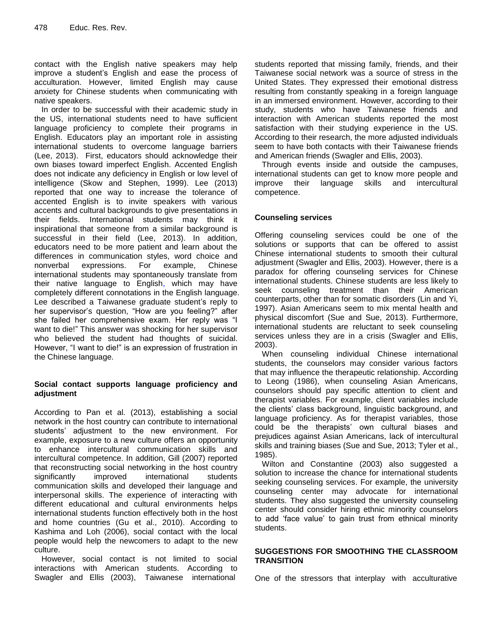contact with the English native speakers may help improve a student"s English and ease the process of acculturation. However, limited English may cause anxiety for Chinese students when communicating with native speakers.

In order to be successful with their academic study in the US, international students need to have sufficient language proficiency to complete their programs in English. Educators play an important role in assisting international students to overcome language barriers (Lee, 2013). First, educators should acknowledge their own biases toward imperfect English. Accented English does not indicate any deficiency in English or low level of intelligence (Skow and Stephen, 1999). Lee (2013) reported that one way to increase the tolerance of accented English is to invite speakers with various accents and cultural backgrounds to give presentations in their fields. International students may think it inspirational that someone from a similar background is successful in their field (Lee, 2013). In addition, educators need to be more patient and learn about the differences in communication styles, word choice and nonverbal expressions. For example, Chinese international students may spontaneously translate from their native language to English, which may have completely different connotations in the English language. Lee described a Taiwanese graduate student's reply to her supervisor"s question, "How are you feeling?" after she failed her comprehensive exam. Her reply was "I want to die!" This answer was shocking for her supervisor who believed the student had thoughts of suicidal. However, "I want to die!" is an expression of frustration in the Chinese language.

#### **Social contact supports language proficiency and adjustment**

According to Pan et al. (2013), establishing a social network in the host country can contribute to international students" adjustment to the new environment. For example, exposure to a new culture offers an opportunity to enhance intercultural communication skills and intercultural competence. In addition, Gill (2007) reported that reconstructing social networking in the host country significantly improved international students communication skills and developed their language and interpersonal skills. The experience of interacting with different educational and cultural environments helps international students function effectively both in the host and home countries (Gu et al., 2010). According to Kashima and Loh (2006), social contact with the local people would help the newcomers to adapt to the new culture.

However, social contact is not limited to social interactions with American students. According to Swagler and Ellis (2003), Taiwanese international students reported that missing family, friends, and their Taiwanese social network was a source of stress in the United States. They expressed their emotional distress resulting from constantly speaking in a foreign language in an immersed environment. However, according to their study, students who have Taiwanese friends and interaction with American students reported the most satisfaction with their studying experience in the US. According to their research, the more adjusted individuals seem to have both contacts with their Taiwanese friends and American friends (Swagler and Ellis, 2003).

Through events inside and outside the campuses, international students can get to know more people and improve their language skills and intercultural competence.

## **Counseling services**

Offering counseling services could be one of the solutions or supports that can be offered to assist Chinese international students to smooth their cultural adjustment (Swagler and Ellis, 2003). However, there is a paradox for offering counseling services for Chinese international students. Chinese students are less likely to seek counseling treatment than their American counterparts, other than for somatic disorders (Lin and Yi, 1997). Asian Americans seem to mix mental health and physical discomfort (Sue and Sue, 2013). Furthermore, international students are reluctant to seek counseling services unless they are in a crisis (Swagler and Ellis, 2003).

When counseling individual Chinese international students, the counselors may consider various factors that may influence the therapeutic relationship. According to Leong (1986), when counseling Asian Americans, counselors should pay specific attention to client and therapist variables. For example, client variables include the clients" class background, linguistic background, and language proficiency. As for therapist variables, those could be the therapists" own cultural biases and prejudices against Asian Americans, lack of intercultural skills and training biases (Sue and Sue, 2013; Tyler et al., 1985).

Wilton and Constantine (2003) also suggested a solution to increase the chance for international students seeking counseling services. For example, the university counseling center may advocate for international students. They also suggested the university counseling center should consider hiring ethnic minority counselors to add "face value" to gain trust from ethnical minority students.

## **SUGGESTIONS FOR SMOOTHING THE CLASSROOM TRANSITION**

One of the stressors that interplay with acculturative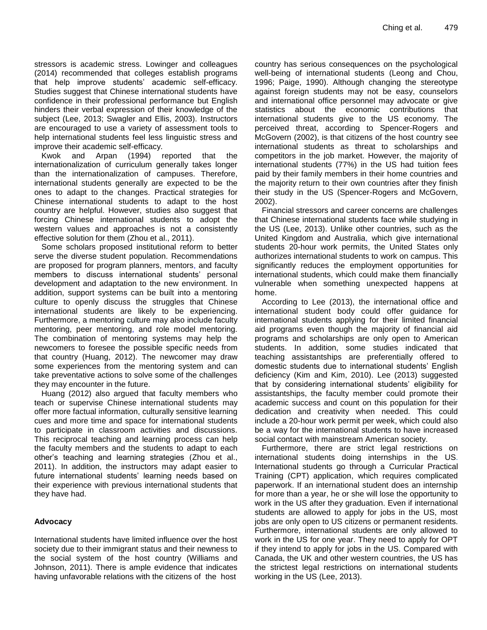stressors is academic stress. Lowinger and colleagues (2014) recommended that colleges establish programs that help improve students' academic self-efficacy. Studies suggest that Chinese international students have confidence in their professional performance but English hinders their verbal expression of their knowledge of the subject (Lee, 2013; Swagler and Ellis, 2003). Instructors are encouraged to use a variety of assessment tools to help international students feel less linguistic stress and improve their academic self-efficacy.

Kwok and Arpan (1994) reported that the internationalization of curriculum generally takes longer than the internationalization of campuses. Therefore, international students generally are expected to be the ones to adapt to the changes. Practical strategies for Chinese international students to adapt to the host country are helpful. However, studies also suggest that forcing Chinese international students to adopt the western values and approaches is not a consistently effective solution for them (Zhou et al., 2011).

Some scholars proposed institutional reform to better serve the diverse student population. Recommendations are proposed for program planners, mentors, and faculty members to discuss international students' personal development and adaptation to the new environment. In addition, support systems can be built into a mentoring culture to openly discuss the struggles that Chinese international students are likely to be experiencing. Furthermore, a mentoring culture may also include faculty mentoring, peer mentoring, and role model mentoring. The combination of mentoring systems may help the newcomers to foresee the possible specific needs from that country (Huang, 2012). The newcomer may draw some experiences from the mentoring system and can take preventative actions to solve some of the challenges they may encounter in the future.

Huang (2012) also argued that faculty members who teach or supervise Chinese international students may offer more factual information, culturally sensitive learning cues and more time and space for international students to participate in classroom activities and discussions. This reciprocal teaching and learning process can help the faculty members and the students to adapt to each other"s teaching and learning strategies (Zhou et al., 2011). In addition, the instructors may adapt easier to future international students' learning needs based on their experience with previous international students that they have had.

#### **Advocacy**

International students have limited influence over the host society due to their immigrant status and their newness to the social system of the host country (Williams and Johnson, 2011). There is ample evidence that indicates having unfavorable relations with the citizens of the host

country has serious consequences on the psychological well-being of international students (Leong and Chou, 1996; Paige, 1990). Although changing the stereotype against foreign students may not be easy, counselors and international office personnel may advocate or give statistics about the economic contributions that international students give to the US economy. The perceived threat, according to Spencer-Rogers and McGovern (2002), is that citizens of the host country see international students as threat to scholarships and competitors in the job market. However, the majority of international students (77%) in the US had tuition fees paid by their family members in their home countries and the majority return to their own countries after they finish their study in the US (Spencer-Rogers and McGovern, 2002).

Financial stressors and career concerns are challenges that Chinese international students face while studying in the US (Lee, 2013). Unlike other countries, such as the United Kingdom and Australia, which give international students 20-hour work permits, the United States only authorizes international students to work on campus. This significantly reduces the employment opportunities for international students, which could make them financially vulnerable when something unexpected happens at home.

According to Lee (2013), the international office and international student body could offer guidance for international students applying for their limited financial aid programs even though the majority of financial aid programs and scholarships are only open to American students. In addition, some studies indicated that teaching assistantships are preferentially offered to domestic students due to international students" English deficiency (Kim and Kim, 2010). Lee (2013) suggested that by considering international students' eligibility for assistantships, the faculty member could promote their academic success and count on this population for their dedication and creativity when needed. This could include a 20-hour work permit per week, which could also be a way for the international students to have increased social contact with mainstream American society.

Furthermore, there are strict legal restrictions on international students doing internships in the US. International students go through a Curricular Practical Training (CPT) application, which requires complicated paperwork. If an international student does an internship for more than a year, he or she will lose the opportunity to work in the US after they graduation. Even if international students are allowed to apply for jobs in the US, most jobs are only open to US citizens or permanent residents. Furthermore, international students are only allowed to work in the US for one year. They need to apply for OPT if they intend to apply for jobs in the US. Compared with Canada, the UK and other western countries, the US has the strictest legal restrictions on international students working in the US (Lee, 2013).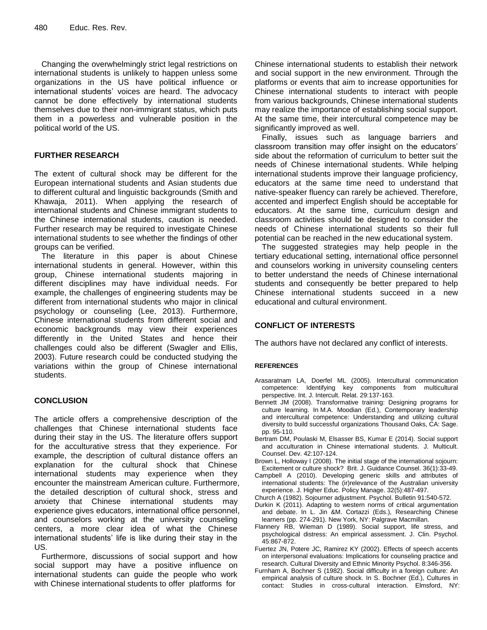Changing the overwhelmingly strict legal restrictions on international students is unlikely to happen unless some organizations in the US have political influence or international students" voices are heard. The advocacy cannot be done effectively by international students themselves due to their non-immigrant status, which puts them in a powerless and vulnerable position in the political world of the US.

## **FURTHER RESEARCH**

The extent of cultural shock may be different for the European international students and Asian students due to different cultural and linguistic backgrounds (Smith and Khawaja, 2011). When applying the research of international students and Chinese immigrant students to the Chinese international students, caution is needed. Further research may be required to investigate Chinese international students to see whether the findings of other groups can be verified.

The literature in this paper is about Chinese international students in general. However, within this group, Chinese international students majoring in different disciplines may have individual needs. For example, the challenges of engineering students may be different from international students who major in clinical psychology or counseling (Lee, 2013). Furthermore, Chinese international students from different social and economic backgrounds may view their experiences differently in the United States and hence their challenges could also be different (Swagler and Ellis, 2003). Future research could be conducted studying the variations within the group of Chinese international students.

#### **CONCLUSION**

The article offers a comprehensive description of the challenges that Chinese international students face during their stay in the US. The literature offers support for the acculturative stress that they experience. For example, the description of cultural distance offers an explanation for the cultural shock that Chinese international students may experience when they encounter the mainstream American culture. Furthermore, the detailed description of cultural shock, stress and anxiety that Chinese international students may experience gives educators, international office personnel, and counselors working at the university counseling centers, a more clear idea of what the Chinese international students' life is like during their stay in the US.

Furthermore, discussions of social support and how social support may have a positive influence on international students can guide the people who work with Chinese international students to offer platforms for

Chinese international students to establish their network and social support in the new environment. Through the platforms or events that aim to increase opportunities for Chinese international students to interact with people from various backgrounds, Chinese international students may realize the importance of establishing social support. At the same time, their intercultural competence may be significantly improved as well.

Finally, issues such as language barriers and classroom transition may offer insight on the educators" side about the reformation of curriculum to better suit the needs of Chinese international students. While helping international students improve their language proficiency, educators at the same time need to understand that native-speaker fluency can rarely be achieved. Therefore, accented and imperfect English should be acceptable for educators. At the same time, curriculum design and classroom activities should be designed to consider the needs of Chinese international students so their full potential can be reached in the new educational system.

The suggested strategies may help people in the tertiary educational setting, international office personnel and counselors working in university counseling centers to better understand the needs of Chinese international students and consequently be better prepared to help Chinese international students succeed in a new educational and cultural environment.

# **CONFLICT OF INTERESTS**

The authors have not declared any conflict of interests.

#### **REFERENCES**

- Arasaratnam LA, Doerfel ML (2005). Intercultural communication competence: Identifying key components from multicultural perspective. Int. J. Intercult. Relat. 29:137-163.
- Bennett JM (2008). Transformative training: Designing programs for culture learning. In M.A. Moodian (Ed.), Contemporary leadership and intercultural competence: Understanding and utilizing cultural diversity to build successful organizations Thousand Oaks, CA: Sage. pp. 95-110.
- Bertram DM, Poulaski M, Elsasser BS, Kumar E (2014). Social support and acculturation in Chinese international students. J. Multicult. Counsel. Dev. 42:107-124.
- Brown L, Holloway I (2008). The initial stage of the international sojourn: Excitement or culture shock? Brit. J. Guidance Counsel. 36(1):33-49.
- Campbell A (2010). Developing generic skills and attributes of international students: The (ir)relevance of the Australian university experience. J. Higher Educ. Policy Manage. 32(5):487-497.
- Church A (1982). Sojourner adjustment. Psychol. Bulletin 91:540-572.
- Durkin K (2011). Adapting to western norms of critical argumentation and debate. In L. Jin &M. Cortazzi (Eds.), Researching Chinese learners (pp. 274-291). New York, NY: Palgrave Macmillan.
- Flannery RB, Wieman D (1989). Social support, life stress, and psychological distress: An empirical assessment. J. Clin. Psychol. 45:867-872.
- Fuertez JN, Potere JC, Ramirez KY (2002). Effects of speech accents on interpersonal evaluations: Implications for counseling practice and research. Cultural Diversity and Ethnic Minority Psychol. 8:346-356.
- Furnham A, Bochner S (1982). Social difficulty in a foreign culture: An empirical analysis of culture shock. In S. Bochner (Ed.), Cultures in contact: Studies in cross-cultural interaction. Elmsford, NY: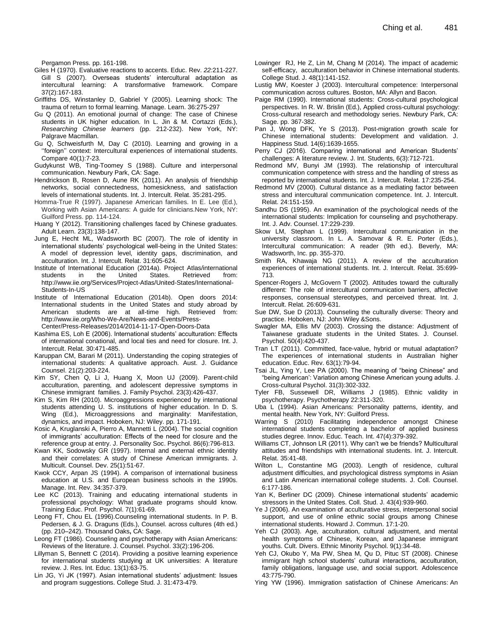Pergamon Press. pp. 161-198.

- Giles H (1970). Evaluative reactions to accents. Educ. Rev. *22:*211-227. Gill S (2007). Overseas students' intercultural adaptation as intercultural learning: A transformative framework. Compare 37(2):167-183.
- Griffiths DS, Winstanley D, Gabriel Y (2005). Learning shock: The trauma of return to formal learning. Manage. Learn. 36:275-297
- Gu Q (2011). An emotional journal of change: The case of Chinese students in UK higher education. In L. Jin & M. Cortazzi (Eds.), *Researching Chinese learners* (pp. 212-232). New York, NY: Palgrave Macmillan.
- Gu Q, Schweisfurth M, Day C (2010). Learning and growing in a "foreign" context: Intercultural experiences of international students. Compare 40(1):7-23.
- Gudykunst WB, Ting-Toomey S (1988). Culture and interpersonal communication. Newbury Park, CA: Sage.
- Hendrickson B, Rosen D, Aune RK (2011). An analysis of friendship networks, social connectedness, homesickness, and satisfaction levels of international students. Int. J. Intercult. Relat. 35:281-295.
- Homma-True R (1997). Japanese American families. In E. Lee (Ed.), Working with Asian Americans: A guide for clinicians.New York, NY: Guilford Press. pp. 114-124.
- Huang Y (2012). Transitioning challenges faced by Chinese graduates. Adult Learn. 23(3):138-147.
- Jung E, Hecht ML, Wadsworth BC (2007). The role of identity in international students" psychological well-being in the United States: A model of depression level, identity gaps, discrimination, and acculturation. Int. J. Intercult. Relat. 31:605-624.
- Institute of International Education (2014a). Project Atlas/international students in the United States. Retrieved from: http://www.iie.org/Services/Project-Atlas/United-States/International-Students-In-US
- Institute of International Education (2014b). Open doors 2014: International students in the United States and study abroad by American students are at all-time high. Retrieved from: http://www.iie.org/Who-We-Are/News-and-Events/Press-Center/Press-Releases/2014/2014-11-17-Open-Doors-Data
- Kashima ES, Loh E (2006). International students" acculturation: Effects of international conational, and local ties and need for closure. Int. J. Intercult. Relat. 30:471-485.
- Karuppan CM, Barari M (2011). Understanding the coping strategies of international students: A qualitative approach. Aust. J. Guidance Counsel. 21(2):203-224.
- Kim SY, Chen Q, Li J, Huang X, Moon UJ (2009). Parent-child acculturation, parenting, and adolescent depressive symptoms in Chinese immigrant families. J. Family Psychol. 23(3):426-437.
- Kim S, Kim RH (2010). Microaggressions experienced by international students attending U. S. institutions of higher education. In D. S. Wing (Ed.), Microaggressions and marginality: Manifestation, dynamics, and impact. Hoboken, NJ: Wiley. pp. 171-191.
- Kosic A, Kruglanski A, Pierro A, Mannetti L (2004). The social cognition of immigrants' acculturation: Effects of the need for closure and the reference group at entry. J. Personality Soc. Psychol. 86(6):796-813.
- Kwan KK, Sodowsky GR (1997). Internal and external ethnic identity and their correlates: A study of Chinese American immigrants. J. Multicult. Counsel. Dev. 25(1):51-67.
- Kwok CCY, Arpan JS (1994). A comparison of international business education at U.S. and European business schools in the 1990s. Manage. Int. Rev. 34:357-379.
- Lee KC (2013). Training and educating international students in professional psychology: What graduate programs should know. Training Educ. Prof. Psychol. 7(1):61-69.
- Leong FT, Chou EL (1996).Counseling international students. In P. B. Pedersen, & J. G. Draguns (Eds.), Counsel. across cultures (4th ed.) (pp. 210–242). Thousand Oaks**,** CA: Sage.
- Leong FT (1986). Counseling and psychotherapy with Asian Americans: Reviews of the literature. J. Counsel. Psychol. 33(2):196-206.
- Lillyman S, Bennett C (2014). Providing a positive learning experience for international students studying at UK universities: A literature review. J. Res. Int. Educ. 13(1):63-75.
- Lin JG, Yi JK (1997). Asian international students" adjustment: Issues and program suggestions. College Stud. J. 31:473-479.
- Lowinger RJ, He Z, Lin M, Chang M (2014). The impact of academic self-efficacy, acculturation behavior in Chinese international students. College Stud. J. 48(1):141-152.
- Lustig MW, Koester J (2003). Intercultural competence: Interpersonal communication across cultures. Boston, MA: Allyn and Bacon.
- Paige RM (1990). International students: Cross-cultural psychological perspectives. In R. W. Brislin (Ed.), Applied cross-cultural psychology: Cross-cultural research and methodology series. Newbury Park, CA: Sage. pp. 367-382.
- Pan J, Wong DFK, Ye S (2013). Post-migration growth scale for Chinese international students: Development and validation. J. Happiness Stud. 14(6):1639-1655.
- Perry CJ (2016). Comparing international and American Students' challenges: A literature review. J. Int. Students, 6(3):712-721.
- Redmond MV, Bunyi JM (1993). The relationship of intercultural communication competence with stress and the handling of stress as reported by international students. Int. J. Intercult. Relat. 17:235-254.
- Redmond MV (2000). Cultural distance as a mediating factor between stress and intercultural communication competence. Int. J. Intercult. Relat. 24:151-159.
- Sandhu DS (1995). An examination of the psychological needs of the international students: Implication for counseling and psychotherapy. Int. J. Adv. Counsel. 17:229-239.
- Skow LM, Stephan L (1999). Intercultural communication in the university classroom. In L. A. Samovar & R. E. Porter (Eds.), Intercultural communication: A reader (9th ed.). Beverly, MA: Wadsworth, Inc. pp. 355-370.
- Smith RA, Khawaja NG (2011). A review of the acculturation experiences of international students. Int. J. Intercult. Relat. 35:699- 713.
- Spencer-Rogers J, McGovern T (2002). Attitudes toward the culturally different: The role of intercultural communication barriers, affective responses, consensual stereotypes, and perceived threat. Int. J. Intercult. Relat. 26:609-631.
- Sue DW, Sue D (2013). Counseling the culturally diverse: Theory and practice. Hoboken, NJ: John Wiley &Sons.
- Swagler MA, Ellis MV (2003). Crossing the distance: Adjustment of Taiwanese graduate students in the United States. J. Counsel. Psychol. 50(4):420-437.
- Tran LT (2011). Committed, face-value, hybrid or mutual adaptation? The experiences of international students in Australian higher education. Educ. Rev. 63(1):79-94.
- Tsai JL, Ying Y, Lee PA (2000). The meaning of "being Chinese" and "being American": Variation among Chinese American young adults. J. Cross-cultural Psychol. 31(3):302-332.
- Tyler FB, Sussewell DR, Williams J (1985). Ethnic validity in psychotherapy. Psychotherapy 22:311-320.
- Uba L (1994). Asian Americans: Personality patterns, identity, and mental health. New York, NY: Guilford Press.
- Warring S (2010) Facilitating independence amongst Chinese international students completing a bachelor of applied business studies degree. Innov. Educ. Teach. Int. 47(4):379-392.
- Williams CT, Johnson LR (2011). Why can"t we be friends? Multicultural attitudes and friendships with international students. Int. J. Intercult. Relat. 35:41-48.
- Wilton L, Constantine MG (2003). Length of residence, cultural adjustment difficulties, and psychological distress symptoms in Asian and Latin American international college students. J. Coll. Counsel. 6:177-186.
- Yan K, Berliner DC (2009). Chinese international students' academic stressors in the United States. Coll. Stud. J. 43(4):939-960.
- Ye J (2006). An examination of acculturative stress, interpersonal social support, and use of online ethnic social groups among Chinese international students. Howard J. Commun. 17:1-20.
- Yeh CJ (2003). Age, acculturation, cultural adjustment, and mental health symptoms of Chinese, Korean, and Japanese immigrant youths. Cult. Divers. Ethnic Minority Psychol. 9(1):34-48.
- Yeh CJ, Okubo Y, Ma PW, Shea M, Qu D, Pituc ST (2008). Chinese immigrant high school students' cultural interactions, acculturation, family obligations, language use, and social support. Adolescence 43:775-790.
- Ying YW (1996). Immigration satisfaction of Chinese Americans: An